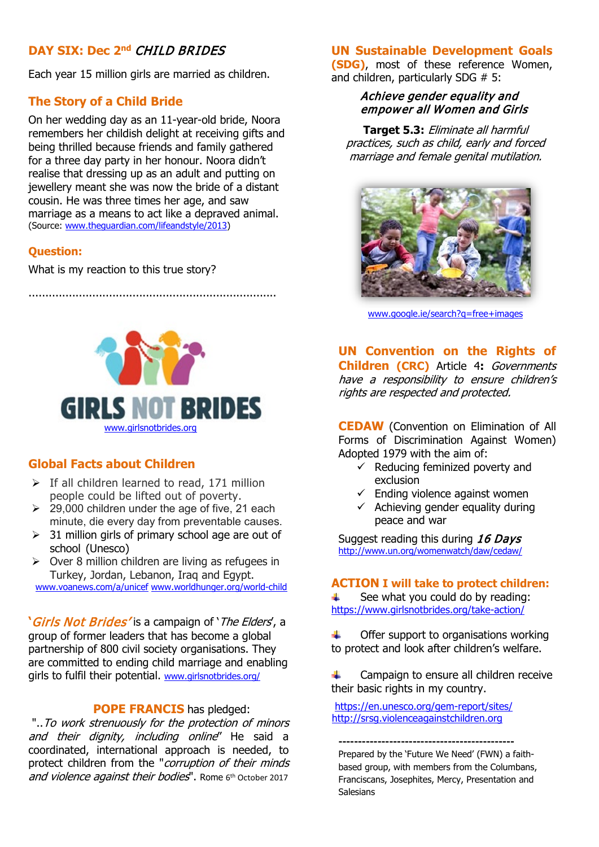# **DAY SIX: Dec 2nd** CHILD BRIDES

Each year 15 million girls are married as children.

### **The Story of a Child Bride**

On her wedding day as an 11-year-old bride, Noora remembers her childish delight at receiving gifts and being thrilled because friends and family gathered for a three day party in her honour. Noora didn't realise that dressing up as an adult and putting on jewellery meant she was now the bride of a distant cousin. He was three times her age, and saw marriage as a means to act like a depraved animal. (Source: [www.theguardian.com/lifeandstyle/2013\)](http://www.theguardian.com/lifeandstyle/2013)

#### **Question:**

What is my reaction to this true story?

**GIRLS NOT BRIDES** [www.girlsnotbrides.org](http://www.girlsnotbrides.org/)

..........................................................................

## **Global Facts about Children**

- $\triangleright$  If all children learned to read, 171 million people could be lifted out of poverty.
- $\geq$  29,000 children under the age of five, 21 each minute, die every day from preventable causes.
- $\geq$  31 million girls of primary school age are out of school (Unesco)
- $\geq$  Over 8 million children are living as refugees in Turkey, Jordan, Lebanon, Iraq and Egypt. [www.voanews.com/a/unicef](http://www.voanews.com/a/unicef) [www.worldhunger.org/world-child](http://www.worldhunger.org/world-child)

**'**Girls Not Brides' is a campaign of 'The Elders', a group of former leaders that has become a global partnership of 800 civil society organisations. They are committed to ending child marriage and enabling girls to fulfil their potential. [www.girlsnotbrides.org/](http://www.girlsnotbrides.org/)

#### **POPE FRANCIS** has pledged:

"..To work strenuously for the protection of minors and their dignity, including online" He said a coordinated, international approach is needed, to protect children from the "corruption of their minds and violence against their bodies". Rome 6th October 2017

## **UN Sustainable Development Goals**

**(SDG)**, most of these reference Women, and children, particularly SDG # 5:

#### Achieve gender equality and empower all Women and Girls

**Target 5.3:** Eliminate all harmful practices, such as child, early and forced marriage and female genital mutilation.



[www.google.ie/search?q=free+images](http://www.google.ie/search?q=free+images)

**UN Convention on the Rights of Children (CRC)** Article 4**:** Governments have a responsibility to ensure children's rights are respected and protected.

**CEDAW** (Convention on Elimination of All Forms of Discrimination Against Women) Adopted 1979 with the aim of:

- $\checkmark$  Reducing feminized poverty and exclusion
- $\checkmark$  Ending violence against women
- $\checkmark$  Achieving gender equality during peace and war

Suggest reading this during 16 Davs <http://www.un.org/womenwatch/daw/cedaw/>

#### **ACTION I will take to protect children:**

See what you could do by reading: ÷ <https://www.girlsnotbrides.org/take-action/>

Offer support to organisations working ÷. to protect and look after children's welfare.

÷ Campaign to ensure all children receive their basic rights in my country.

<https://en.unesco.org/gem-report/sites/> [http://srsg.violenceagainstchildren.org](http://srsg.violenceagainstchildren.org/)

**---------------------------------------------** Prepared by the 'Future We Need' (FWN) a faithbased group, with members from the Columbans, Franciscans, Josephites, Mercy, Presentation and Salesians